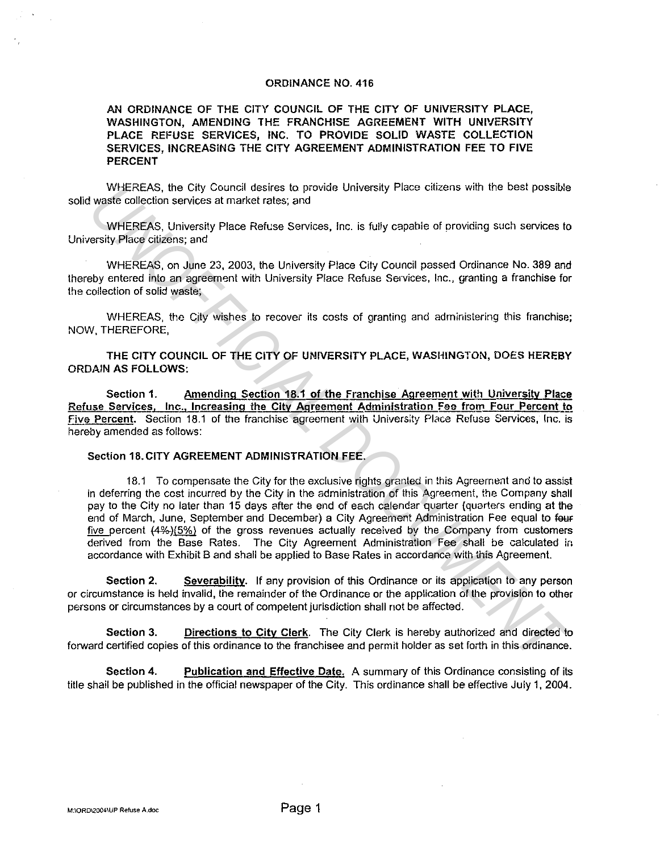## ORDINANCE NO. 416

AN ORDINANCE OF THE CITY COUNCIL OF THE CITY OF UNIVERSITY PLACE, WASHINGTON, AMENDING THE FRANCHISE AGREEMENT WITH UNIVERSITY PLACE REFUSE SERVICES, INC. TO PROVIDE SOLID WASTE COLLECTION SERVICES, INCREASING THE CITY AGREEMENT ADMINISTRATION FEE TO FIVE PERCENT

WHEREAS, the City Council desires to provide University Place citizens with the best possible solid waste collection services at market rates; and

WHEREAS, University Place Refuse Services, Inc. is fully capabie of providing such services to University Place citizens; and

WHEREAS, on June 23, 2003, the University Place City Council passed Ordinance No. 389 and thereby entered into an agreement with University Place Refuse Services, Inc., granting a franchise for the collection of solid waste;

WHEREAS, the City wishes to recover its costs of granting and administering this franchise; NOW, THEREFORE,

THE CITY COUNCIL OF THE CITY OF UNIVERSITY PLACE, WASHINGTON, DOES HEREBY ORDAIN AS FOLLOWS:

Section 1. Amending Section 18.1 of the Franchise Agreement with University Place Refuse Services, Inc., Increasing the City Agreement Administration Fee from Four Percent to five Percent. Section 18.1 of the franchise agreement with Univers:ty Place Refuse Services, Inc. is hereby amended as follows:

## Section 18.CITY AGREEMENT ADMINISTRATION FEE.

18.1 To compensate the City for the exclusive rights granted in this Agreement and to assist in deferring the cost incurred by the City in the administration of this Agreement, the Company shall pay to the City no later than 15 days after the end of each calendar quarter (quarters ending at the end of March, June, September and December) a City Agreement Administration Fee equal to feuf five percent (4%-)(5%) of the gross revenues actually received by the Company from customers derived from the Base Rates. The City Agreement Administration Fee shall be calculated in accordance with Exhibit B and shall be applied to Base Rates in accordance with this Agreement. WHEREAS, the City Council desires to provide University Place citizens with the best possible<br>
Waste collection scribes at mathet rates; and<br>
WHEREAS, University Place Refuse Services, inc. is fully capable of providing su

Section 2. Severability. If any provision of this Ordinance or its application to any person or circumstance is held invalid, the remainder of the Ordinance or the application of the provision to other persons or circumstances by a court of competent jurisdiction shall not be affected.

Section 3. Directions to City Clerk. The City Clerk is hereby authorized and directed to forward certified copies of this ordinance to the franchisee and permit holder as set forth in this ordinance.

Section 4. Publication and Effective Date. A summary of this Ordinance consisting of its title shail be published in the official newspaper of the City. This ordinance shall be effective July 1, 2004.